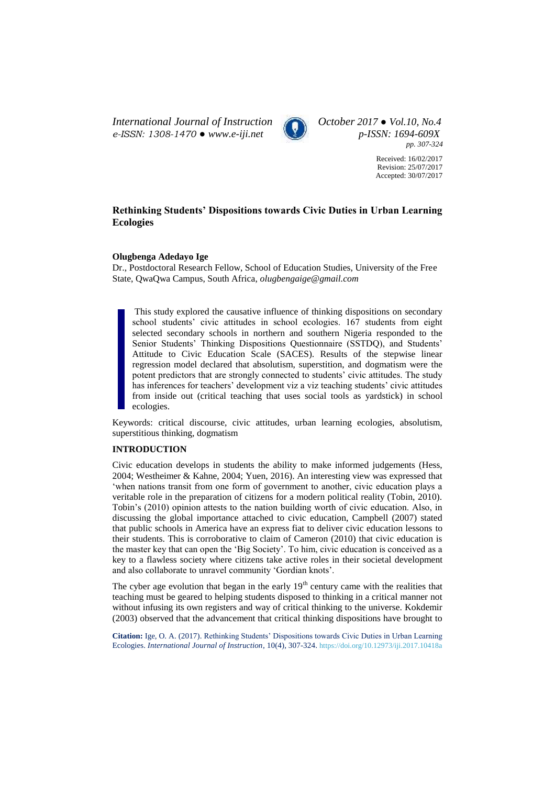*International Journal of Instruction October 2017 ● Vol.10, No.4 e-ISSN: 1308-1470 ● [www.e-iji.net](http://www.e-iji.net/) p-ISSN: 1694-609X*



*pp. 307-324*

Received: 16/02/2017 Revision: 25/07/2017 Accepted: 30/07/2017

# **Rethinking Students' Dispositions towards Civic Duties in Urban Learning Ecologies**

# **Olugbenga Adedayo Ige**

Dr., Postdoctoral Research Fellow, School of Education Studies, University of the Free State, QwaQwa Campus, South Africa, *olugbengaige@gmail.com*

This study explored the causative influence of thinking dispositions on secondary school students' civic attitudes in school ecologies. 167 students from eight selected secondary schools in northern and southern Nigeria responded to the Senior Students' Thinking Dispositions Questionnaire (SSTDQ), and Students' Attitude to Civic Education Scale (SACES). Results of the stepwise linear regression model declared that absolutism, superstition, and dogmatism were the potent predictors that are strongly connected to students' civic attitudes. The study has inferences for teachers' development viz a viz teaching students' civic attitudes from inside out (critical teaching that uses social tools as yardstick) in school ecologies.

Keywords: critical discourse, civic attitudes, urban learning ecologies, absolutism, superstitious thinking, dogmatism

# **INTRODUCTION**

Civic education develops in students the ability to make informed judgements (Hess, 2004; Westheimer & Kahne, 2004; Yuen, 2016). An interesting view was expressed that 'when nations transit from one form of government to another, civic education plays a veritable role in the preparation of citizens for a modern political reality (Tobin, 2010). Tobin's (2010) opinion attests to the nation building worth of civic education. Also, in discussing the global importance attached to civic education, Campbell (2007) stated that public schools in America have an express fiat to deliver civic education lessons to their students. This is corroborative to claim of Cameron (2010) that civic education is the master key that can open the 'Big Society'. To him, civic education is conceived as a key to a flawless society where citizens take active roles in their societal development and also collaborate to unravel community 'Gordian knots'.

The cyber age evolution that began in the early  $19<sup>th</sup>$  century came with the realities that teaching must be geared to helping students disposed to thinking in a critical manner not without infusing its own registers and way of critical thinking to the universe. Kokdemir (2003) observed that the advancement that critical thinking dispositions have brought to

**Citation:** Ige, O. A. (2017). Rethinking Students' Dispositions towards Civic Duties in Urban Learning Ecologies. *International Journal of Instruction*, 10(4), 307-324. <https://doi.org/10.12973/iji.2017.10418a>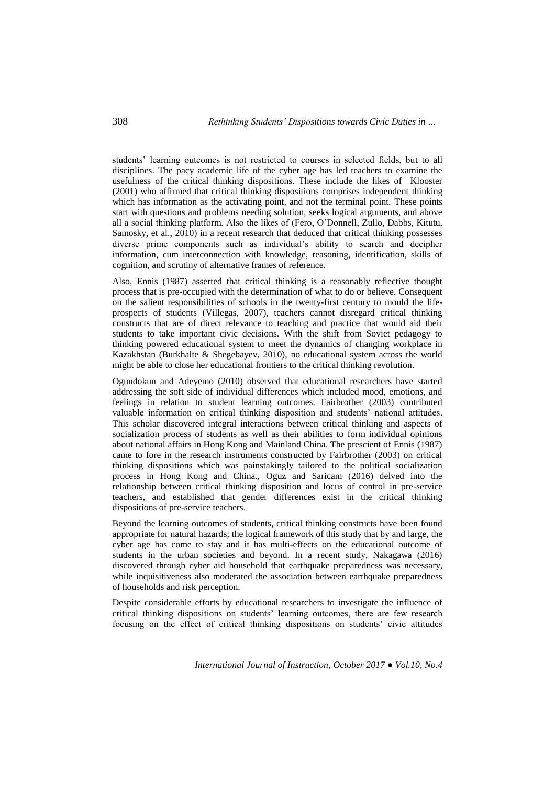students' learning outcomes is not restricted to courses in selected fields, but to all disciplines. The pacy academic life of the cyber age has led teachers to examine the usefulness of the critical thinking dispositions. These include the likes of Klooster (2001) who affirmed that critical thinking dispositions comprises independent thinking which has information as the activating point, and not the terminal point. These points start with questions and problems needing solution, seeks logical arguments, and above all a social thinking platform. Also the likes of (Fero, O'Donnell, Zullo, Dabbs, Kitutu, Samosky, et al., 2010) in a recent research that deduced that critical thinking possesses diverse prime components such as individual's ability to search and decipher information, cum interconnection with knowledge, reasoning, identification, skills of cognition, and scrutiny of alternative frames of reference.

Also, Ennis (1987) asserted that critical thinking is a reasonably reflective thought process that is pre-occupied with the determination of what to do or believe. Consequent on the salient responsibilities of schools in the twenty-first century to mould the lifeprospects of students (Villegas, 2007), teachers cannot disregard critical thinking constructs that are of direct relevance to teaching and practice that would aid their students to take important civic decisions. With the shift from Soviet pedagogy to thinking powered educational system to meet the dynamics of changing workplace in Kazakhstan (Burkhalte & Shegebayev, 2010), no educational system across the world might be able to close her educational frontiers to the critical thinking revolution.

Ogundokun and Adeyemo (2010) observed that educational researchers have started addressing the soft side of individual differences which included mood, emotions, and feelings in relation to student learning outcomes. Fairbrother (2003) contributed valuable information on critical thinking disposition and students' national attitudes. This scholar discovered integral interactions between critical thinking and aspects of socialization process of students as well as their abilities to form individual opinions about national affairs in Hong Kong and Mainland China. The prescient of Ennis (1987) came to fore in the research instruments constructed by Fairbrother (2003) on critical thinking dispositions which was painstakingly tailored to the political socialization process in Hong Kong and China., Oguz and Saricam (2016) delved into the relationship between critical thinking disposition and locus of control in pre-service teachers, and established that gender differences exist in the critical thinking dispositions of pre-service teachers.

Beyond the learning outcomes of students, critical thinking constructs have been found appropriate for natural hazards; the logical framework of this study that by and large, the cyber age has come to stay and it has multi-effects on the educational outcome of students in the urban societies and beyond. In a recent study, Nakagawa (2016) discovered through cyber aid household that earthquake preparedness was necessary, while inquisitiveness also moderated the association between earthquake preparedness of households and risk perception.

Despite considerable efforts by educational researchers to investigate the influence of critical thinking dispositions on students' learning outcomes, there are few research focusing on the effect of critical thinking dispositions on students' civic attitudes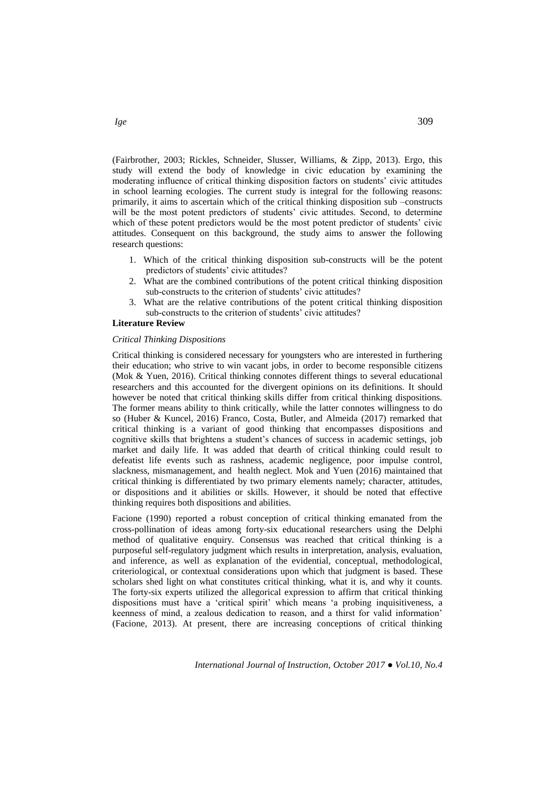(Fairbrother, 2003; Rickles, Schneider, Slusser, Williams, & Zipp, 2013). Ergo, this study will extend the body of knowledge in civic education by examining the moderating influence of critical thinking disposition factors on students' civic attitudes in school learning ecologies. The current study is integral for the following reasons: primarily, it aims to ascertain which of the critical thinking disposition sub –constructs will be the most potent predictors of students' civic attitudes. Second, to determine which of these potent predictors would be the most potent predictor of students' civic attitudes. Consequent on this background, the study aims to answer the following research questions:

- 1. Which of the critical thinking disposition sub-constructs will be the potent predictors of students' civic attitudes?
- 2. What are the combined contributions of the potent critical thinking disposition sub-constructs to the criterion of students' civic attitudes?
- 3. What are the relative contributions of the potent critical thinking disposition sub-constructs to the criterion of students' civic attitudes?

# **Literature Review**

#### *Critical Thinking Dispositions*

Critical thinking is considered necessary for youngsters who are interested in furthering their education; who strive to win vacant jobs, in order to become responsible citizens (Mok & Yuen, 2016). Critical thinking connotes different things to several educational researchers and this accounted for the divergent opinions on its definitions. It should however be noted that critical thinking skills differ from critical thinking dispositions. The former means ability to think critically, while the latter connotes willingness to do so (Huber & Kuncel, 2016) Franco, Costa, Butler, and Almeida (2017) remarked that critical thinking is a variant of good thinking that encompasses dispositions and cognitive skills that brightens a student's chances of success in academic settings, job market and daily life. It was added that dearth of critical thinking could result to defeatist life events such as rashness, academic negligence, poor impulse control, slackness, mismanagement, and health neglect. Mok and Yuen (2016) maintained that critical thinking is differentiated by two primary elements namely; character, attitudes, or dispositions and it abilities or skills. However, it should be noted that effective thinking requires both dispositions and abilities.

Facione (1990) reported a robust conception of critical thinking emanated from the cross-pollination of ideas among forty-six educational researchers using the Delphi method of qualitative enquiry. Consensus was reached that critical thinking is a purposeful self-regulatory judgment which results in interpretation, analysis, evaluation, and inference, as well as explanation of the evidential, conceptual, methodological, criteriological, or contextual considerations upon which that judgment is based. These scholars shed light on what constitutes critical thinking, what it is, and why it counts. The forty-six experts utilized the allegorical expression to affirm that critical thinking dispositions must have a 'critical spirit' which means 'a probing inquisitiveness, a keenness of mind, a zealous dedication to reason, and a thirst for valid information' (Facione, 2013). At present, there are increasing conceptions of critical thinking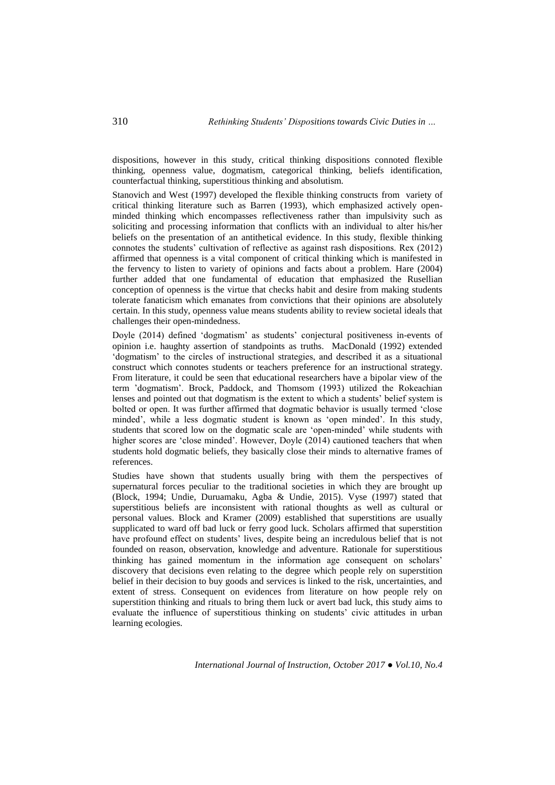dispositions, however in this study, critical thinking dispositions connoted flexible thinking, openness value, dogmatism, categorical thinking, beliefs identification, counterfactual thinking, superstitious thinking and absolutism.

Stanovich and West (1997) developed the flexible thinking constructs from variety of critical thinking literature such as Barren (1993), which emphasized actively openminded thinking which encompasses reflectiveness rather than impulsivity such as soliciting and processing information that conflicts with an individual to alter his/her beliefs on the presentation of an antithetical evidence. In this study, flexible thinking connotes the students' cultivation of reflective as against rash dispositions. Rex (2012) affirmed that openness is a vital component of critical thinking which is manifested in the fervency to listen to variety of opinions and facts about a problem. Hare (2004) further added that one fundamental of education that emphasized the Rusellian conception of openness is the virtue that checks habit and desire from making students tolerate fanaticism which emanates from convictions that their opinions are absolutely certain. In this study, openness value means students ability to review societal ideals that challenges their open-mindedness.

Doyle (2014) defined 'dogmatism' as students' conjectural positiveness in-events of opinion i.e. haughty assertion of standpoints as truths. MacDonald (1992) extended 'dogmatism' to the circles of instructional strategies, and described it as a situational construct which connotes students or teachers preference for an instructional strategy. From literature, it could be seen that educational researchers have a bipolar view of the term 'dogmatism'. Brock, Paddock, and Thomsom (1993) utilized the Rokeachian lenses and pointed out that dogmatism is the extent to which a students' belief system is bolted or open. It was further affirmed that dogmatic behavior is usually termed 'close minded', while a less dogmatic student is known as 'open minded'. In this study, students that scored low on the dogmatic scale are 'open-minded' while students with higher scores are 'close minded'. However, Doyle (2014) cautioned teachers that when students hold dogmatic beliefs, they basically close their minds to alternative frames of references.

Studies have shown that students usually bring with them the perspectives of supernatural forces peculiar to the traditional societies in which they are brought up (Block, 1994; Undie, Duruamaku, Agba & Undie, 2015). Vyse (1997) stated that superstitious beliefs are inconsistent with rational thoughts as well as cultural or personal values. Block and Kramer (2009) established that superstitions are usually supplicated to ward off bad luck or ferry good luck. Scholars affirmed that superstition have profound effect on students' lives, despite being an incredulous belief that is not founded on reason, observation, knowledge and adventure. Rationale for superstitious thinking has gained momentum in the information age consequent on scholars' discovery that decisions even relating to the degree which people rely on superstition belief in their decision to buy goods and services is linked to the risk, uncertainties, and extent of stress. Consequent on evidences from literature on how people rely on superstition thinking and rituals to bring them luck or avert bad luck, this study aims to evaluate the influence of superstitious thinking on students' civic attitudes in urban learning ecologies.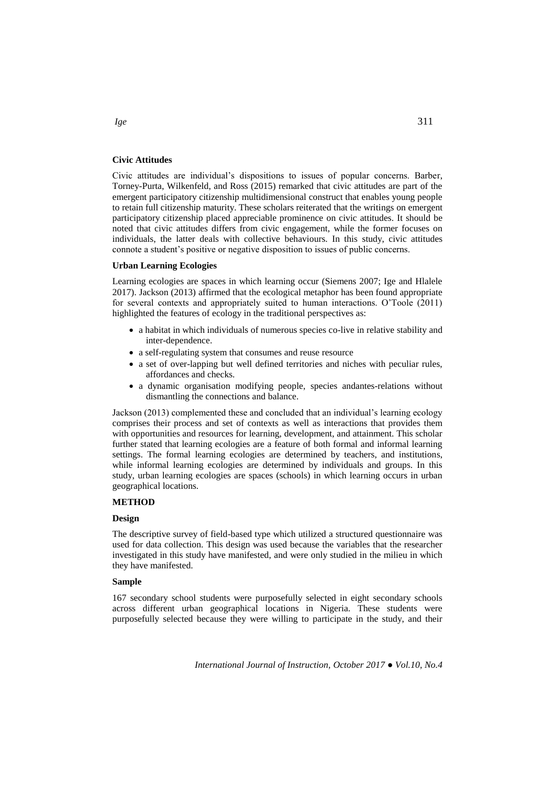# **Civic Attitudes**

Civic attitudes are individual's dispositions to issues of popular concerns. Barber, Torney-Purta, Wilkenfeld, and Ross (2015) remarked that civic attitudes are part of the emergent participatory citizenship multidimensional construct that enables young people to retain full citizenship maturity. These scholars reiterated that the writings on emergent participatory citizenship placed appreciable prominence on civic attitudes. It should be noted that civic attitudes differs from civic engagement, while the former focuses on individuals, the latter deals with collective behaviours. In this study, civic attitudes connote a student's positive or negative disposition to issues of public concerns.

# **Urban Learning Ecologies**

Learning ecologies are spaces in which learning occur (Siemens 2007; Ige and Hlalele 2017). Jackson (2013) affirmed that the ecological metaphor has been found appropriate for several contexts and appropriately suited to human interactions. O'Toole (2011) highlighted the features of ecology in the traditional perspectives as:

- a habitat in which individuals of numerous species co-live in relative stability and inter-dependence.
- a self-regulating system that consumes and reuse resource
- a set of over-lapping but well defined territories and niches with peculiar rules, affordances and checks.
- a dynamic organisation modifying people, species andantes-relations without dismantling the connections and balance.

Jackson (2013) complemented these and concluded that an individual's learning ecology comprises their process and set of contexts as well as interactions that provides them with opportunities and resources for learning, development, and attainment. This scholar further stated that learning ecologies are a feature of both formal and informal learning settings. The formal learning ecologies are determined by teachers, and institutions, while informal learning ecologies are determined by individuals and groups. In this study, urban learning ecologies are spaces (schools) in which learning occurs in urban geographical locations.

## **METHOD**

## **Design**

The descriptive survey of field-based type which utilized a structured questionnaire was used for data collection. This design was used because the variables that the researcher investigated in this study have manifested, and were only studied in the milieu in which they have manifested.

## **Sample**

167 secondary school students were purposefully selected in eight secondary schools across different urban geographical locations in Nigeria. These students were purposefully selected because they were willing to participate in the study, and their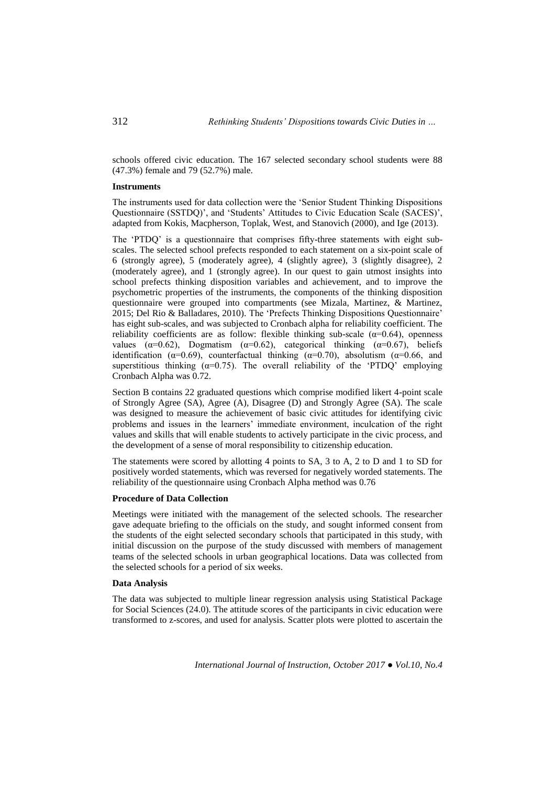schools offered civic education. The 167 selected secondary school students were 88 (47.3%) female and 79 (52.7%) male.

## **Instruments**

The instruments used for data collection were the 'Senior Student Thinking Dispositions Questionnaire (SSTDQ)', and 'Students' Attitudes to Civic Education Scale (SACES)', adapted from Kokis, Macpherson, Toplak, West, and Stanovich (2000), and Ige (2013).

The 'PTDQ' is a questionnaire that comprises fifty-three statements with eight subscales. The selected school prefects responded to each statement on a six-point scale of 6 (strongly agree), 5 (moderately agree), 4 (slightly agree), 3 (slightly disagree), 2 (moderately agree), and 1 (strongly agree). In our quest to gain utmost insights into school prefects thinking disposition variables and achievement, and to improve the psychometric properties of the instruments, the components of the thinking disposition questionnaire were grouped into compartments (see Mizala, Martinez, & Martinez, 2015; Del Rio & Balladares, 2010). The 'Prefects Thinking Dispositions Questionnaire' has eight sub-scales, and was subjected to Cronbach alpha for reliability coefficient. The reliability coefficients are as follow: flexible thinking sub-scale  $(\alpha=0.64)$ , openness values ( $\alpha$ =0.62), Dogmatism ( $\alpha$ =0.62), categorical thinking ( $\alpha$ =0.67), beliefs identification ( $\alpha$ =0.69), counterfactual thinking ( $\alpha$ =0.70), absolutism ( $\alpha$ =0.66, and superstitious thinking  $(\alpha=0.75)$ . The overall reliability of the 'PTDQ' employing Cronbach Alpha was 0.72.

Section B contains 22 graduated questions which comprise modified likert 4-point scale of Strongly Agree (SA), Agree (A), Disagree (D) and Strongly Agree (SA). The scale was designed to measure the achievement of basic civic attitudes for identifying civic problems and issues in the learners' immediate environment, inculcation of the right values and skills that will enable students to actively participate in the civic process, and the development of a sense of moral responsibility to citizenship education.

The statements were scored by allotting 4 points to SA, 3 to A, 2 to D and 1 to SD for positively worded statements, which was reversed for negatively worded statements. The reliability of the questionnaire using Cronbach Alpha method was 0.76

# **Procedure of Data Collection**

Meetings were initiated with the management of the selected schools. The researcher gave adequate briefing to the officials on the study, and sought informed consent from the students of the eight selected secondary schools that participated in this study, with initial discussion on the purpose of the study discussed with members of management teams of the selected schools in urban geographical locations. Data was collected from the selected schools for a period of six weeks.

## **Data Analysis**

The data was subjected to multiple linear regression analysis using Statistical Package for Social Sciences (24.0). The attitude scores of the participants in civic education were transformed to z-scores, and used for analysis. Scatter plots were plotted to ascertain the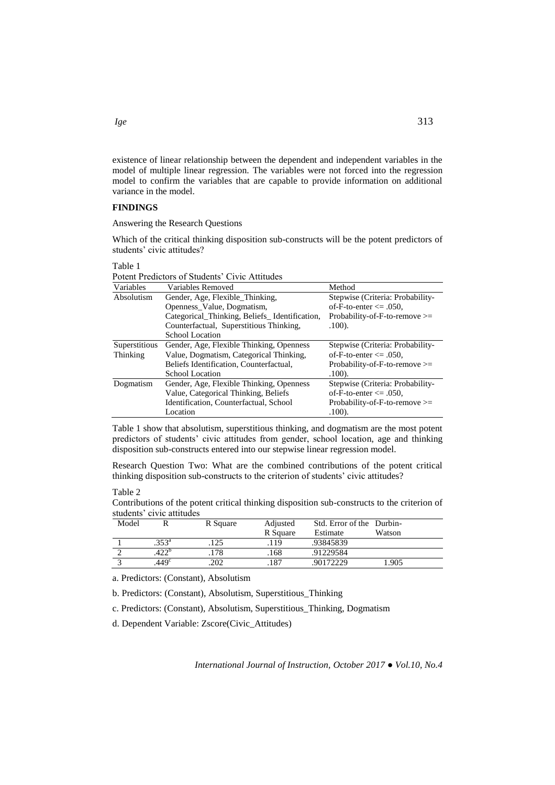existence of linear relationship between the dependent and independent variables in the model of multiple linear regression. The variables were not forced into the regression model to confirm the variables that are capable to provide information on additional variance in the model.

## **FINDINGS**

Answering the Research Questions

Which of the critical thinking disposition sub-constructs will be the potent predictors of students' civic attitudes?

#### Table 1

Potent Predictors of Students' Civic Attitudes

| Variables     | Variables Removed                             | Method                           |
|---------------|-----------------------------------------------|----------------------------------|
| Absolutism    | Gender, Age, Flexible_Thinking,               | Stepwise (Criteria: Probability- |
|               | Openness_Value, Dogmatism,                    | of-F-to-enter $\leq$ 0.050,      |
|               | Categorical_Thinking, Beliefs_Identification, | Probability-of-F-to-remove $>=$  |
|               | Counterfactual, Superstitious Thinking,       | $.100$ ).                        |
|               | School Location                               |                                  |
| Superstitious | Gender, Age, Flexible Thinking, Openness      | Stepwise (Criteria: Probability- |
| Thinking      | Value, Dogmatism, Categorical Thinking,       | of-F-to-enter $\leq$ 0.50.       |
|               | Beliefs Identification, Counterfactual,       | Probability-of-F-to-remove $>=$  |
|               | School Location                               | .100.                            |
| Dogmatism     | Gender, Age, Flexible Thinking, Openness      | Stepwise (Criteria: Probability- |
|               | Value, Categorical Thinking, Beliefs          | of-F-to-enter $\leq$ 0.050,      |
|               | Identification, Counterfactual, School        | Probability-of-F-to-remove $>=$  |
|               | Location                                      | .100.                            |

Table 1 show that absolutism, superstitious thinking, and dogmatism are the most potent predictors of students' civic attitudes from gender, school location, age and thinking disposition sub-constructs entered into our stepwise linear regression model.

Research Question Two: What are the combined contributions of the potent critical thinking disposition sub-constructs to the criterion of students' civic attitudes?

Table 2

Contributions of the potent critical thinking disposition sub-constructs to the criterion of students' civic attitudes

| Model |                   | R Square | Adjusted<br>R Square | Std. Error of the Durbin-<br>Estimate | Watson |
|-------|-------------------|----------|----------------------|---------------------------------------|--------|
|       | $.353^{\rm a}$    | .125     | .119                 | .93845839                             |        |
|       | A22 <sup>b</sup>  | 178      | .168                 | .91229584                             |        |
|       | .449 <sup>c</sup> | 202      | .187                 | .90172229                             | l.905  |

a. Predictors: (Constant), Absolutism

b. Predictors: (Constant), Absolutism, Superstitious\_Thinking

c. Predictors: (Constant), Absolutism, Superstitious\_Thinking, Dogmatism

d. Dependent Variable: Zscore(Civic\_Attitudes)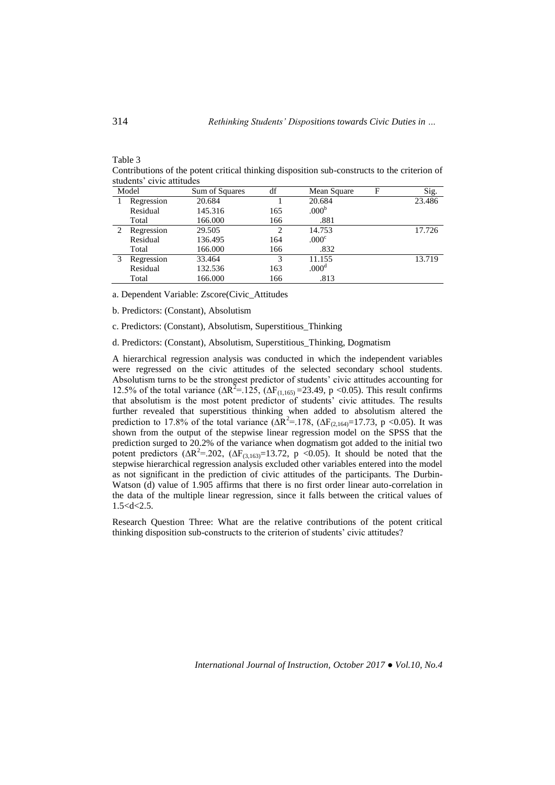students' civic attitudes Model Sum of Squares df Mean Square F Sig. 1 Regression Residual Total<br>2 Regre 20.684 145.316 166.000 1 165 166 20.684 23.486  $.000<sup>b</sup>$  .881 Regression Residual Total 29.505 136.495 166.000 2 164 166 14.753 17.726  $.000c$  .832 3 Regression Residual Total 33.464 132.536 166.000 3 163 166 11.155 13.719  $.000<sup>d</sup>$ .813

Contributions of the potent critical thinking disposition sub-constructs to the criterion of

a. Dependent Variable: Zscore(Civic\_Attitudes

b. Predictors: (Constant), Absolutism

c. Predictors: (Constant), Absolutism, Superstitious\_Thinking

d. Predictors: (Constant), Absolutism, Superstitious\_Thinking, Dogmatism

A hierarchical regression analysis was conducted in which the independent variables were regressed on the civic attitudes of the selected secondary school students. Absolutism turns to be the strongest predictor of students' civic attitudes accounting for 12.5% of the total variance (ΔR<sup>2</sup>=.125, (ΔF<sub>(1,165)</sub> = 23.49, p < 0.05). This result confirms that absolutism is the most potent predictor of students' civic attitudes. The results further revealed that superstitious thinking when added to absolutism altered the prediction to 17.8% of the total variance  $(\Delta R^2 = 178, (\Delta F_{(2,164)} = 17.73, p < 0.05)$ . It was shown from the output of the stepwise linear regression model on the SPSS that the prediction surged to 20.2% of the variance when dogmatism got added to the initial two potent predictors ( $\Delta R^2 = 202$ , ( $\Delta F_{(3,163)} = 13.72$ , p <0.05). It should be noted that the stepwise hierarchical regression analysis excluded other variables entered into the model as not significant in the prediction of civic attitudes of the participants. The Durbin-Watson (d) value of 1.905 affirms that there is no first order linear auto-correlation in the data of the multiple linear regression, since it falls between the critical values of  $1.5 < d < 2.5$ .

Research Question Three: What are the relative contributions of the potent critical thinking disposition sub-constructs to the criterion of students' civic attitudes?

Table 3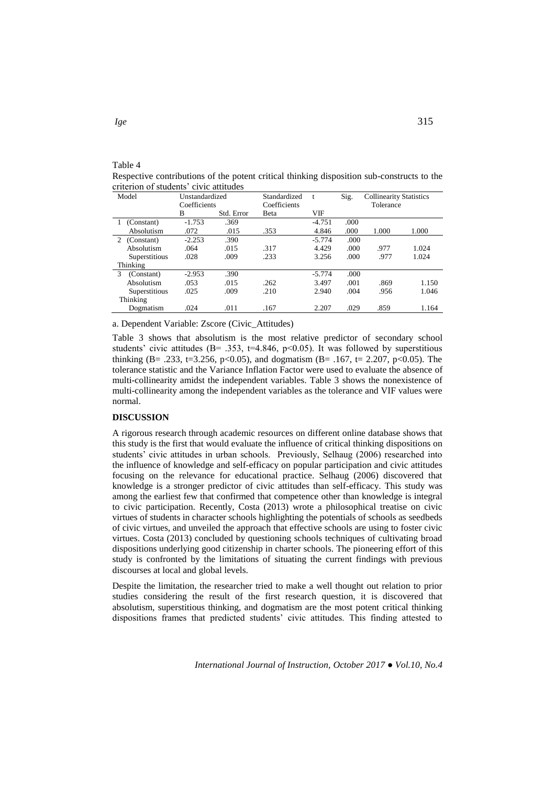| Model           | Unstandardized<br>Coefficients |            | Standardized<br>Coefficients | t        | Sig. | <b>Collinearity Statistics</b><br>Tolerance |       |
|-----------------|--------------------------------|------------|------------------------------|----------|------|---------------------------------------------|-------|
|                 |                                |            |                              |          |      |                                             |       |
|                 | B                              | Std. Error | Beta                         | VIF      |      |                                             |       |
| (Constant)      | $-1.753$                       | .369       |                              | $-4.751$ | .000 |                                             |       |
| Absolutism      | .072                           | .015       | .353                         | 4.846    | .000 | 1.000                                       | 1.000 |
| 2 (Constant)    | $-2.253$                       | .390       |                              | $-5.774$ | .000 |                                             |       |
| Absolutism      | .064                           | .015       | .317                         | 4.429    | .000 | .977                                        | 1.024 |
| Superstitious   | .028                           | .009       | .233                         | 3.256    | .000 | .977                                        | 1.024 |
| Thinking        |                                |            |                              |          |      |                                             |       |
| 3<br>(Constant) | $-2.953$                       | .390       |                              | $-5.774$ | .000 |                                             |       |
| Absolutism      | .053                           | .015       | .262                         | 3.497    | .001 | .869                                        | 1.150 |
| Superstitious   | .025                           | .009       | .210                         | 2.940    | .004 | .956                                        | 1.046 |
| Thinking        |                                |            |                              |          |      |                                             |       |
| Dogmatism       | .024                           | .011       | .167                         | 2.207    | .029 | .859                                        | 1.164 |

Respective contributions of the potent critical thinking disposition sub-constructs to the criterion of students' civic attitudes

a. Dependent Variable: Zscore (Civic\_Attitudes)

Table 3 shows that absolutism is the most relative predictor of secondary school students' civic attitudes (B= .353, t=4.846, p<0.05). It was followed by superstitious thinking (B= .233, t=3.256, p<0.05), and dogmatism (B= .167, t= 2.207, p<0.05). The tolerance statistic and the Variance Inflation Factor were used to evaluate the absence of multi-collinearity amidst the independent variables. Table 3 shows the nonexistence of multi-collinearity among the independent variables as the tolerance and VIF values were normal.

## **DISCUSSION**

A rigorous research through academic resources on different online database shows that this study is the first that would evaluate the influence of critical thinking dispositions on students' civic attitudes in urban schools. Previously, Selhaug (2006) researched into the influence of knowledge and self-efficacy on popular participation and civic attitudes focusing on the relevance for educational practice. Selhaug (2006) discovered that knowledge is a stronger predictor of civic attitudes than self-efficacy. This study was among the earliest few that confirmed that competence other than knowledge is integral to civic participation. Recently, Costa (2013) wrote a philosophical treatise on civic virtues of students in character schools highlighting the potentials of schools as seedbeds of civic virtues, and unveiled the approach that effective schools are using to foster civic virtues. Costa (2013) concluded by questioning schools techniques of cultivating broad dispositions underlying good citizenship in charter schools. The pioneering effort of this study is confronted by the limitations of situating the current findings with previous discourses at local and global levels.

Despite the limitation, the researcher tried to make a well thought out relation to prior studies considering the result of the first research question, it is discovered that absolutism, superstitious thinking, and dogmatism are the most potent critical thinking dispositions frames that predicted students' civic attitudes. This finding attested to

Table 4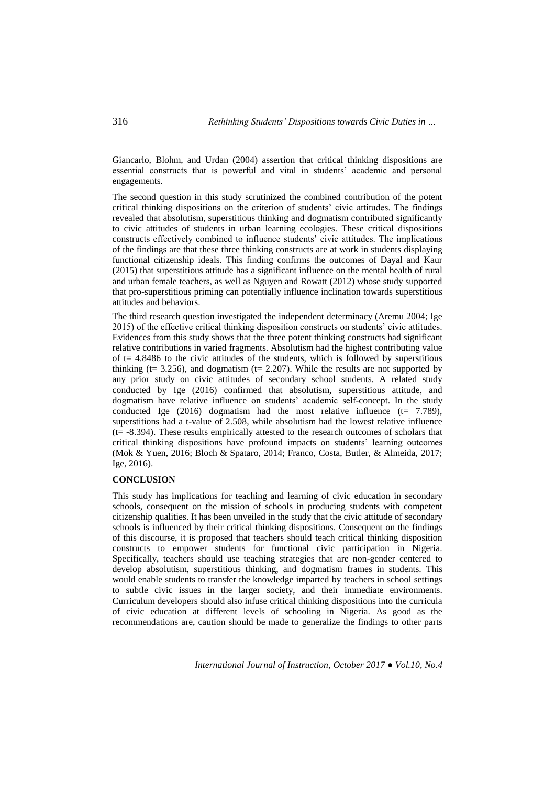Giancarlo, Blohm, and Urdan (2004) assertion that critical thinking dispositions are essential constructs that is powerful and vital in students' academic and personal engagements.

The second question in this study scrutinized the combined contribution of the potent critical thinking dispositions on the criterion of students' civic attitudes. The findings revealed that absolutism, superstitious thinking and dogmatism contributed significantly to civic attitudes of students in urban learning ecologies. These critical dispositions constructs effectively combined to influence students' civic attitudes. The implications of the findings are that these three thinking constructs are at work in students displaying functional citizenship ideals. This finding confirms the outcomes of Dayal and Kaur (2015) that superstitious attitude has a significant influence on the mental health of rural and urban female teachers, as well as Nguyen and Rowatt (2012) whose study supported that pro-superstitious priming can potentially influence inclination towards superstitious attitudes and behaviors.

The third research question investigated the independent determinacy (Aremu 2004; Ige 2015) of the effective critical thinking disposition constructs on students' civic attitudes. Evidences from this study shows that the three potent thinking constructs had significant relative contributions in varied fragments. Absolutism had the highest contributing value of  $t = 4.8486$  to the civic attitudes of the students, which is followed by superstitious thinking (t= 3.256), and dogmatism (t= 2.207). While the results are not supported by any prior study on civic attitudes of secondary school students. A related study conducted by Ige (2016) confirmed that absolutism, superstitious attitude, and dogmatism have relative influence on students' academic self-concept. In the study conducted Ige  $(2016)$  dogmatism had the most relative influence  $(t= 7.789)$ , superstitions had a t-value of 2.508, while absolutism had the lowest relative influence (t= -8.394). These results empirically attested to the research outcomes of scholars that critical thinking dispositions have profound impacts on students' learning outcomes (Mok & Yuen, 2016; Bloch & Spataro, 2014; Franco, Costa, Butler, & Almeida, 2017; Ige, 2016).

# **CONCLUSION**

This study has implications for teaching and learning of civic education in secondary schools, consequent on the mission of schools in producing students with competent citizenship qualities. It has been unveiled in the study that the civic attitude of secondary schools is influenced by their critical thinking dispositions. Consequent on the findings of this discourse, it is proposed that teachers should teach critical thinking disposition constructs to empower students for functional civic participation in Nigeria. Specifically, teachers should use teaching strategies that are non-gender centered to develop absolutism, superstitious thinking, and dogmatism frames in students. This would enable students to transfer the knowledge imparted by teachers in school settings to subtle civic issues in the larger society, and their immediate environments. Curriculum developers should also infuse critical thinking dispositions into the curricula of civic education at different levels of schooling in Nigeria. As good as the recommendations are, caution should be made to generalize the findings to other parts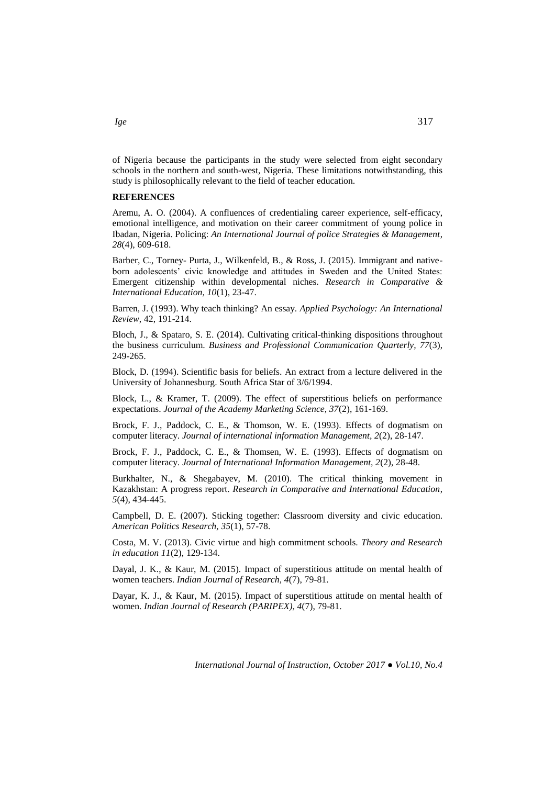of Nigeria because the participants in the study were selected from eight secondary schools in the northern and south-west, Nigeria. These limitations notwithstanding, this study is philosophically relevant to the field of teacher education.

# **REFERENCES**

Aremu, A. O. (2004). A confluences of credentialing career experience, self-efficacy, emotional intelligence, and motivation on their career commitment of young police in Ibadan, Nigeria. Policing: *An International Journal of police Strategies & Management*, *28*(4), 609-618.

Barber, C., Torney- Purta, J., Wilkenfeld, B., & Ross, J. (2015). Immigrant and nativeborn adolescents' civic knowledge and attitudes in Sweden and the United States: Emergent citizenship within developmental niches. *Research in Comparative & International Education, 10*(1), 23-47.

Barren, J. (1993). Why teach thinking? An essay. *Applied Psychology: An International Review*, 42, 191-214.

Bloch, J., & Spataro, S. E. (2014). Cultivating critical-thinking dispositions throughout the business curriculum. *Business and Professional Communication Quarterly, 77*(3), 249-265.

Block, D. (1994). Scientific basis for beliefs. An extract from a lecture delivered in the University of Johannesburg. South Africa Star of 3/6/1994.

Block, L., & Kramer, T. (2009). The effect of superstitious beliefs on performance expectations. *Journal of the Academy Marketing Science, 37*(2), 161-169.

Brock, F. J., Paddock, C. E., & Thomson, W. E. (1993). Effects of dogmatism on computer literacy. *Journal of international information Management, 2*(2), 28-147.

Brock, F. J., Paddock, C. E., & Thomsen, W. E. (1993). Effects of dogmatism on computer literacy. *Journal of International Information Management, 2*(2), 28-48.

Burkhalter, N., & Shegabayev, M. (2010). The critical thinking movement in Kazakhstan: A progress report. *Research in Comparative and International Education*, *5*(4), 434-445.

Campbell, D. E. (2007). Sticking together: Classroom diversity and civic education. *American Politics Research, 35*(1), 57-78.

Costa, M. V. (2013). Civic virtue and high commitment schools. *Theory and Research in education 11*(2), 129-134.

Dayal, J. K., & Kaur, M. (2015). Impact of superstitious attitude on mental health of women teachers. *Indian Journal of Research, 4*(7), 79-81.

Dayar, K. J., & Kaur, M. (2015). Impact of superstitious attitude on mental health of women. *Indian Journal of Research (PARIPEX), 4*(7), 79-81.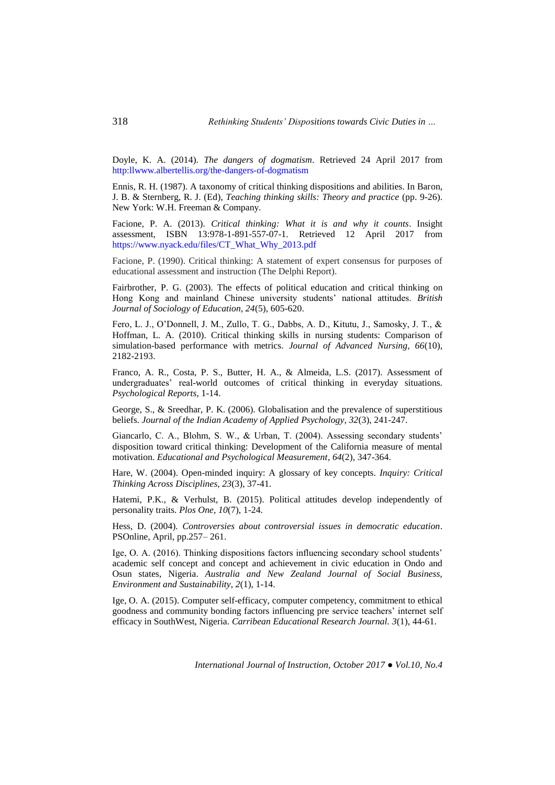Doyle, K. A. (2014). *The dangers of dogmatism*. Retrieved 24 April 2017 from http:llwww.albertellis.org/the-dangers-of-dogmatism

Ennis, R. H. (1987). A taxonomy of critical thinking dispositions and abilities. In Baron, J. B. & Sternberg, R. J. (Ed), *Teaching thinking skills: Theory and practice* (pp. 9-26). New York: W.H. Freeman & Company.

Facione, P. A. (2013). *Critical thinking: What it is and why it counts*. Insight assessment, ISBN 13:978-1-891-557-07-1. Retrieved 12 April 2017 from [https://www.nyack.edu/files/CT\\_What\\_Why\\_2013.pdf](https://www.nyack.edu/files/CT_What_Why_2013.pdf)

Facione, P. (1990). Critical thinking: A statement of expert consensus for purposes of educational assessment and instruction (The Delphi Report).

Fairbrother, P. G. (2003). The effects of political education and critical thinking on Hong Kong and mainland Chinese university students' national attitudes. *British Journal of Sociology of Education, 24*(5), 605-620.

Fero, L. J., O'Donnell, J. M., Zullo, T. G., Dabbs, A. D., Kitutu, J., Samosky, J. T., & Hoffman, L. A. (2010). Critical thinking skills in nursing students: Comparison of simulation-based performance with metrics. *Journal of Advanced Nursing, 66*(10), 2182-2193.

Franco, A. R., Costa, P. S., Butter, H. A., & Almeida, L.S. (2017). Assessment of undergraduates' real-world outcomes of critical thinking in everyday situations. *Psychological Reports*, 1-14.

George, S., & Sreedhar, P. K. (2006). Globalisation and the prevalence of superstitious beliefs. *Journal of the Indian Academy of Applied Psychology, 32*(3), 241-247.

Giancarlo, C. A., Blohm, S. W., & Urban, T. (2004). Assessing secondary students' disposition toward critical thinking: Development of the California measure of mental motivation. *Educational and Psychological Measurement*, *64*(2), 347-364.

Hare, W. (2004). Open-minded inquiry: A glossary of key concepts. *Inquiry: Critical Thinking Across Disciplines, 23*(3), 37-41.

Hatemi, P.K., & Verhulst, B. (2015). Political attitudes develop independently of personality traits. *Plos One, 10*(7), 1-24.

Hess, D. (2004). *Controversies about controversial issues in democratic education*. PSOnline, April, pp.257– 261.

Ige, O. A. (2016). Thinking dispositions factors influencing secondary school students' academic self concept and concept and achievement in civic education in Ondo and Osun states, Nigeria. *Australia and New Zealand Journal of Social Business, Environment and Sustainability*, *2*(1), 1-14.

Ige, O. A. (2015). Computer self-efficacy, computer competency, commitment to ethical goodness and community bonding factors influencing pre service teachers' internet self efficacy in SouthWest, Nigeria. *Carribean Educational Research Journal. 3*(1), 44-61.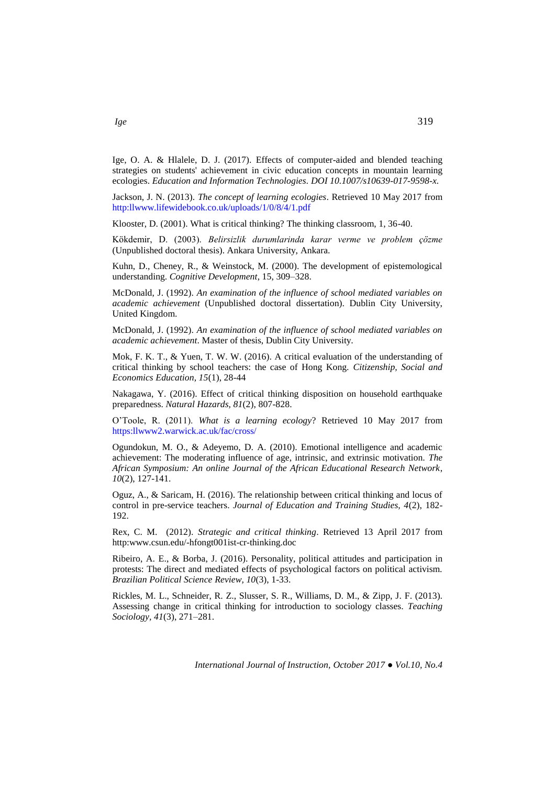Ige, O. A. & Hlalele, D. J. (2017). Effects of computer-aided and blended teaching strategies on students' achievement in civic education concepts in mountain learning ecologies. *[Education and Information Technologies.](http://link.springer.com/journal/10639) DOI 10.1007/s10639-017-9598-x.*

Jackson, J. N. (2013). *The concept of learning ecologies*. Retrieved 10 May 2017 from http:llwww.lifewidebook.co.uk/uploads/1/0/8/4/1.pdf

Klooster, D. (2001). What is critical thinking? The thinking classroom, 1, 36-40.

Kökdemir, D. (2003). *Belirsizlik durumlarinda karar verme ve problem çözme*  (Unpublished doctoral thesis). Ankara University, Ankara.

Kuhn, D., Cheney, R., & Weinstock, M. (2000). The development of epistemological understanding. *Cognitive Development*, 15, 309–328.

McDonald, J. (1992). *An examination of the influence of school mediated variables on academic achievement* (Unpublished doctoral dissertation). Dublin City University, United Kingdom.

McDonald, J. (1992). *An examination of the influence of school mediated variables on academic achievement*. Master of thesis, Dublin City University.

Mok, F. K. T., & Yuen, T. W. W. (2016). A critical evaluation of the understanding of critical thinking by school teachers: the case of Hong Kong. *Citizenship, Social and Economics Education, 15*(1), 28-44

Nakagawa, Y. (2016). Effect of critical thinking disposition on household earthquake preparedness. *Natural Hazards, 81*(2), 807-828.

O'Toole, R. (2011). *What is a learning ecology*? Retrieved 10 May 2017 from https:llwww2.warwick.ac.uk/fac/cross/

Ogundokun, M. O., & Adeyemo, D. A. (2010). Emotional intelligence and academic achievement: The moderating influence of age, intrinsic, and extrinsic motivation. *The African Symposium: An online Journal of the African Educational Research Network*, *10*(2), 127-141.

Oguz, A., & Saricam, H. (2016). The relationship between critical thinking and locus of control in pre-service teachers. *Journal of Education and Training Studies, 4*(2), 182- 192.

Rex, C. M. (2012). *Strategic and critical thinking*. Retrieved 13 April 2017 from http:www.csun.edu/-hfongt001ist-cr-thinking.doc

Ribeiro, A. E., & Borba, J. (2016). Personality, political attitudes and participation in protests: The direct and mediated effects of psychological factors on political activism. *Brazilian Political Science Review, 10*(3), 1-33.

Rickles, M. L., Schneider, R. Z., Slusser, S. R., Williams, D. M., & Zipp, J. F. (2013). Assessing change in critical thinking for introduction to sociology classes. *Teaching Sociology, 41*(3), 271–281.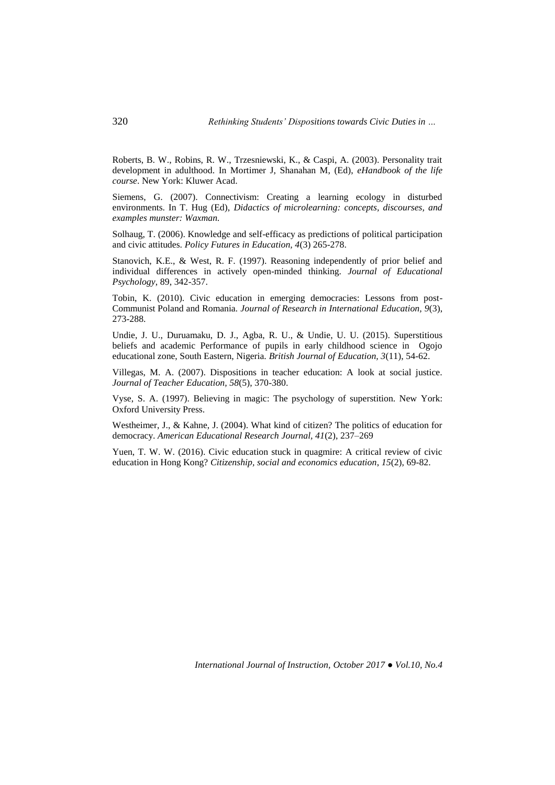Roberts, B. W., Robins, R. W., Trzesniewski, K., & Caspi, A. (2003). Personality trait development in adulthood. In Mortimer J, Shanahan M, (Ed), *eHandbook of the life course*. New York: Kluwer Acad.

Siemens, G. (2007). Connectivism: Creating a learning ecology in disturbed environments. In T. Hug (Ed), *Didactics of microlearning: concepts, discourses, and examples munster: Waxman.*

Solhaug, T. (2006). Knowledge and self-efficacy as predictions of political participation and civic attitudes. *Policy Futures in Education, 4*(3) 265-278.

Stanovich, K.E., & West, R. F. (1997). Reasoning independently of prior belief and individual differences in actively open-minded thinking. *Journal of Educational Psychology*, 89, 342-357.

Tobin, K. (2010). Civic education in emerging democracies: Lessons from post-Communist Poland and Romania*. Journal of Research in International Education, 9*(3), 273-288.

Undie, J. U., Duruamaku, D. J., Agba, R. U., & Undie, U. U. (2015). Superstitious beliefs and academic Performance of pupils in early childhood science in Ogojo educational zone, South Eastern, Nigeria. *British Journal of Education, 3*(11), 54-62.

Villegas, M. A. (2007). Dispositions in teacher education: A look at social justice. *Journal of Teacher Education, 58*(5), 370-380.

Vyse, S. A. (1997). Believing in magic: The psychology of superstition. New York: Oxford University Press.

Westheimer, J., & Kahne, J. (2004). What kind of citizen? The politics of education for democracy. *American Educational Research Journal, 41*(2), 237–269

Yuen, T. W. W. (2016). Civic education stuck in quagmire: A critical review of civic education in Hong Kong? *Citizenship, social and economics education*, *15*(2), 69-82.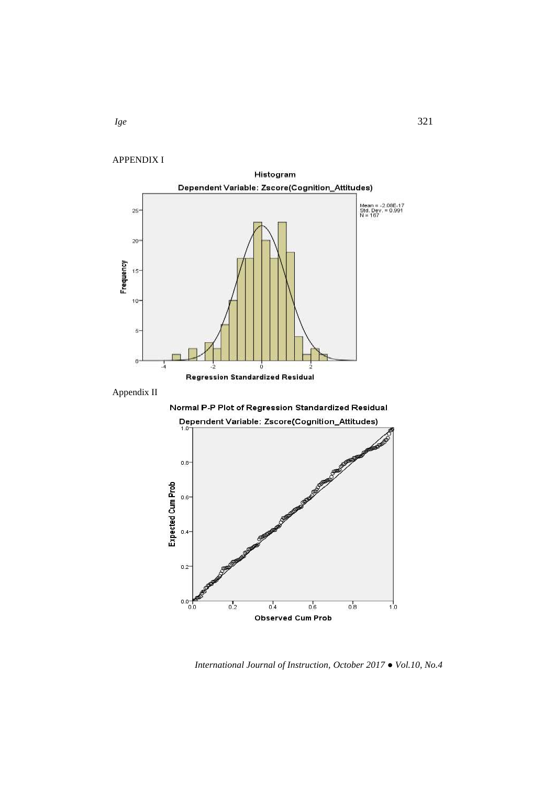APPENDIX I





*International Journal of Instruction, October 2017 ● Vol.10, No.4*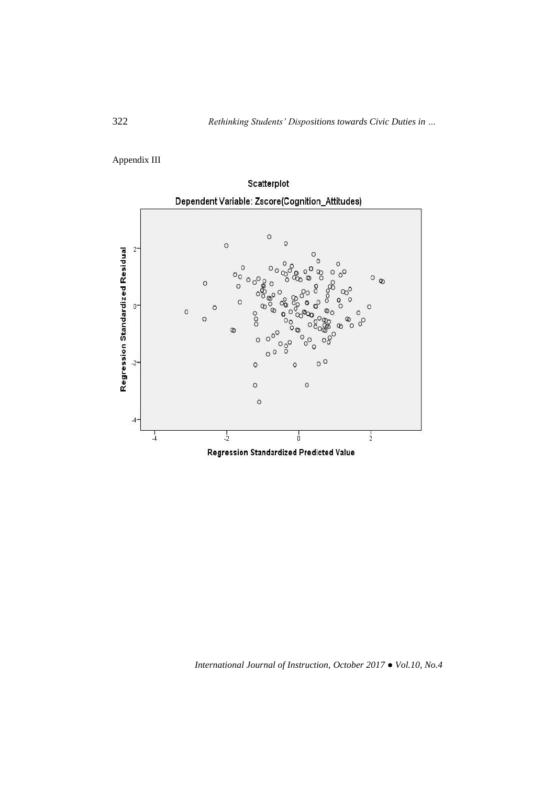Appendix III

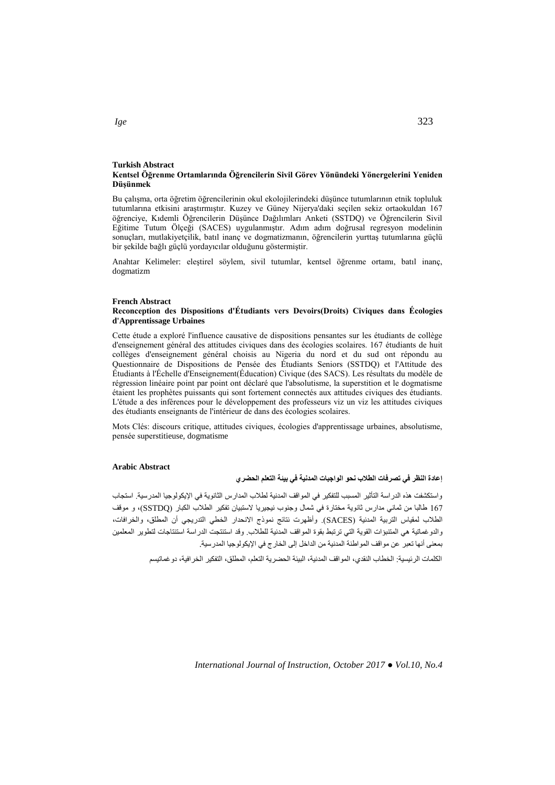#### **Turkish Abstract Kentsel Öğrenme Ortamlarında Öğrencilerin Sivil Görev Yönündeki Yönergelerini Yeniden Düşünmek**

Bu çalışma, orta öğretim öğrencilerinin okul ekolojilerindeki düşünce tutumlarının etnik topluluk tutumlarına etkisini araştırmıştır. Kuzey ve Güney Nijerya'daki seçilen sekiz ortaokuldan 167 öğrenciye, Kıdemli Öğrencilerin Düşünce Dağılımları Anketi (SSTDQ) ve Öğrencilerin Sivil Eğitime Tutum Ölçeği (SACES) uygulanmıştır. Adım adım doğrusal regresyon modelinin sonuçları, mutlakiyetçilik, batıl inanç ve dogmatizmanın, öğrencilerin yurttaş tutumlarına güçlü bir şekilde bağlı güçlü yordayıcılar olduğunu göstermiştir.

Anahtar Kelimeler: eleştirel söylem, sivil tutumlar, kentsel öğrenme ortamı, batıl inanç, dogmatizm

#### **French Abstract**

## **Reconception des Dispositions d'Étudiants vers Devoirs(Droits) Civiques dans Écologies d'Apprentissage Urbaines**

Cette étude a exploré l'influence causative de dispositions pensantes sur les étudiants de collège d'enseignement général des attitudes civiques dans des écologies scolaires. 167 étudiants de huit collèges d'enseignement général choisis au Nigeria du nord et du sud ont répondu au Questionnaire de Dispositions de Pensée des Étudiants Seniors (SSTDQ) et l'Attitude des Étudiants à l'Échelle d'Enseignement(Éducation) Civique (des SACS). Les résultats du modèle de régression linéaire point par point ont déclaré que l'absolutisme, la superstition et le dogmatisme étaient les prophètes puissants qui sont fortement connectés aux attitudes civiques des étudiants. L'étude a des inférences pour le développement des professeurs viz un viz les attitudes civiques des étudiants enseignants de l'intérieur de dans des écologies scolaires.

Mots Clés: discours critique, attitudes civiques, écologies d'apprentissage urbaines, absolutisme, pensée superstitieuse, dogmatisme

## **Arabic Abstract**

# **إعادة النظر في تصرفات الطالب نحو الواجبات المدنية في بيئة التعلم الحضري**

واستكشفت هذه الدراسة التأثير المسبب للتفكير في المواقف المدنية لطالب المدارس الثانوية في اإليكولوجيا المدرسية. استجاب 761 طالبا من ثماني مدارس ثانوية مختارة في شمال وجنوب نيجيريا الستبيان تفكير الطالب الكبار )SSTDQ)، و موقف الطالب لمقياس التربية المدنية )SACES). وأظهرت نتائج نموذج االنحدار الخطي التدريجي أن المطلق، والخرافات، والدوغماتية هي المتنبؤات القوية التي ترتبط بقوة المواقف المدنية للطالب. وقد استنتجت الدراسة استنتاجات لتطوير المعلمين بمعنى أنها تعبر عن مواقف المواطنة المدنية من الداخل إلى الخارج في اإليكولوجيا المدرسية.

الكلمات الرئيسية: الخطاب النقدي، المواقف المدنية، البيئة الحضرية التعلم، المطلق، التفكير الخرافية، دوغماتيسم